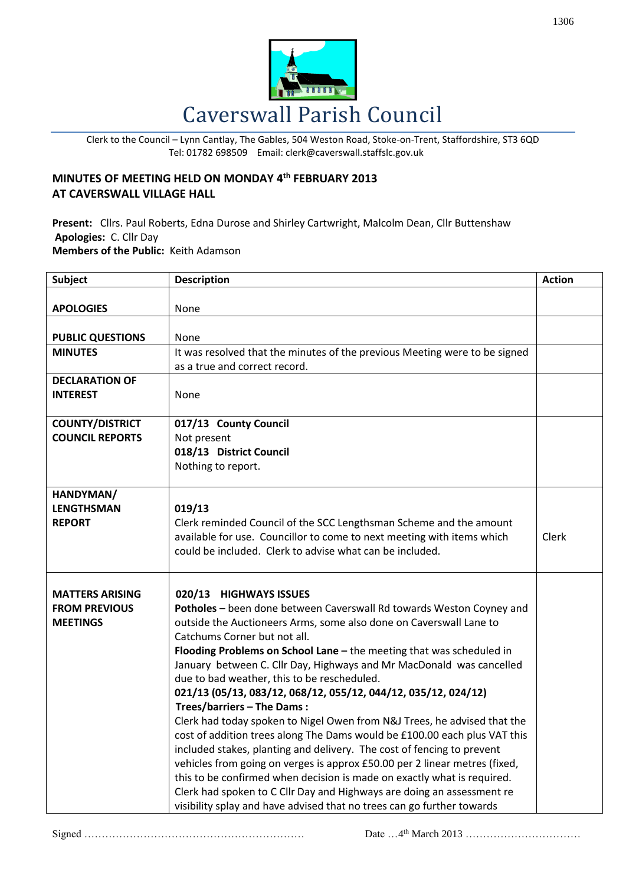

Clerk to the Council – Lynn Cantlay, The Gables, 504 Weston Road, Stoke-on-Trent, Staffordshire, ST3 6QD Tel: 01782 698509 Email: clerk@caverswall.staffslc.gov.uk

## **MINUTES OF MEETING HELD ON MONDAY 4 th FEBRUARY 2013 AT CAVERSWALL VILLAGE HALL**

**Present:** Cllrs. Paul Roberts, Edna Durose and Shirley Cartwright, Malcolm Dean, Cllr Buttenshaw **Apologies:** C. Cllr Day **Members of the Public:** Keith Adamson

| <b>Subject</b>                                                    | <b>Description</b>                                                                                                                                                                                                                                                                                                                                                                                                                                                                                                                                                                                                                                                                                                                                                                                                                                                                                                                                                                                                                                  | <b>Action</b> |
|-------------------------------------------------------------------|-----------------------------------------------------------------------------------------------------------------------------------------------------------------------------------------------------------------------------------------------------------------------------------------------------------------------------------------------------------------------------------------------------------------------------------------------------------------------------------------------------------------------------------------------------------------------------------------------------------------------------------------------------------------------------------------------------------------------------------------------------------------------------------------------------------------------------------------------------------------------------------------------------------------------------------------------------------------------------------------------------------------------------------------------------|---------------|
| <b>APOLOGIES</b>                                                  | None                                                                                                                                                                                                                                                                                                                                                                                                                                                                                                                                                                                                                                                                                                                                                                                                                                                                                                                                                                                                                                                |               |
| <b>PUBLIC QUESTIONS</b>                                           | None                                                                                                                                                                                                                                                                                                                                                                                                                                                                                                                                                                                                                                                                                                                                                                                                                                                                                                                                                                                                                                                |               |
| <b>MINUTES</b>                                                    | It was resolved that the minutes of the previous Meeting were to be signed<br>as a true and correct record.                                                                                                                                                                                                                                                                                                                                                                                                                                                                                                                                                                                                                                                                                                                                                                                                                                                                                                                                         |               |
| <b>DECLARATION OF</b><br><b>INTEREST</b>                          | None                                                                                                                                                                                                                                                                                                                                                                                                                                                                                                                                                                                                                                                                                                                                                                                                                                                                                                                                                                                                                                                |               |
| <b>COUNTY/DISTRICT</b><br><b>COUNCIL REPORTS</b>                  | 017/13 County Council<br>Not present<br>018/13 District Council<br>Nothing to report.                                                                                                                                                                                                                                                                                                                                                                                                                                                                                                                                                                                                                                                                                                                                                                                                                                                                                                                                                               |               |
| HANDYMAN/<br><b>LENGTHSMAN</b><br><b>REPORT</b>                   | 019/13<br>Clerk reminded Council of the SCC Lengthsman Scheme and the amount<br>available for use. Councillor to come to next meeting with items which<br>could be included. Clerk to advise what can be included.                                                                                                                                                                                                                                                                                                                                                                                                                                                                                                                                                                                                                                                                                                                                                                                                                                  | Clerk         |
| <b>MATTERS ARISING</b><br><b>FROM PREVIOUS</b><br><b>MEETINGS</b> | 020/13 HIGHWAYS ISSUES<br>Potholes - been done between Caverswall Rd towards Weston Coyney and<br>outside the Auctioneers Arms, some also done on Caverswall Lane to<br>Catchums Corner but not all.<br>Flooding Problems on School Lane - the meeting that was scheduled in<br>January between C. Cllr Day, Highways and Mr MacDonald was cancelled<br>due to bad weather, this to be rescheduled.<br>021/13 (05/13, 083/12, 068/12, 055/12, 044/12, 035/12, 024/12)<br>Trees/barriers - The Dams:<br>Clerk had today spoken to Nigel Owen from N&J Trees, he advised that the<br>cost of addition trees along The Dams would be £100.00 each plus VAT this<br>included stakes, planting and delivery. The cost of fencing to prevent<br>vehicles from going on verges is approx £50.00 per 2 linear metres (fixed,<br>this to be confirmed when decision is made on exactly what is required.<br>Clerk had spoken to C Cllr Day and Highways are doing an assessment re<br>visibility splay and have advised that no trees can go further towards |               |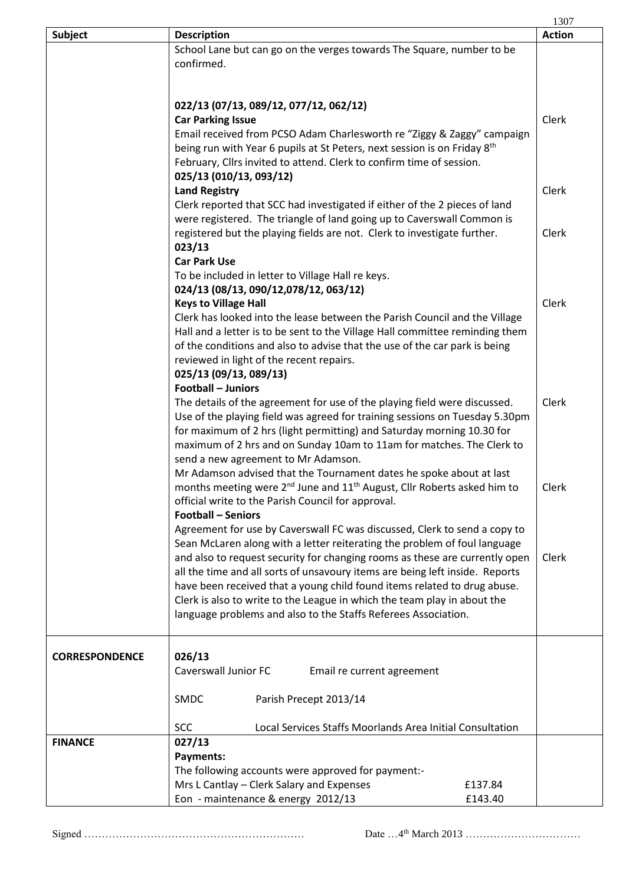|                       |                                                                                                                                                                | 1307          |
|-----------------------|----------------------------------------------------------------------------------------------------------------------------------------------------------------|---------------|
| <b>Subject</b>        | <b>Description</b>                                                                                                                                             | <b>Action</b> |
|                       | School Lane but can go on the verges towards The Square, number to be                                                                                          |               |
|                       | confirmed.                                                                                                                                                     |               |
|                       |                                                                                                                                                                |               |
|                       |                                                                                                                                                                |               |
|                       | 022/13 (07/13, 089/12, 077/12, 062/12)                                                                                                                         |               |
|                       | <b>Car Parking Issue</b>                                                                                                                                       | Clerk         |
|                       | Email received from PCSO Adam Charlesworth re "Ziggy & Zaggy" campaign<br>being run with Year 6 pupils at St Peters, next session is on Friday 8 <sup>th</sup> |               |
|                       | February, Cllrs invited to attend. Clerk to confirm time of session.                                                                                           |               |
|                       | 025/13 (010/13, 093/12)                                                                                                                                        |               |
|                       | <b>Land Registry</b>                                                                                                                                           | Clerk         |
|                       | Clerk reported that SCC had investigated if either of the 2 pieces of land                                                                                     |               |
|                       | were registered. The triangle of land going up to Caverswall Common is                                                                                         |               |
|                       | registered but the playing fields are not. Clerk to investigate further.                                                                                       | Clerk         |
|                       | 023/13                                                                                                                                                         |               |
|                       | <b>Car Park Use</b>                                                                                                                                            |               |
|                       | To be included in letter to Village Hall re keys.                                                                                                              |               |
|                       | 024/13 (08/13, 090/12,078/12, 063/12)                                                                                                                          |               |
|                       | <b>Keys to Village Hall</b>                                                                                                                                    | Clerk         |
|                       | Clerk has looked into the lease between the Parish Council and the Village                                                                                     |               |
|                       | Hall and a letter is to be sent to the Village Hall committee reminding them                                                                                   |               |
|                       | of the conditions and also to advise that the use of the car park is being                                                                                     |               |
|                       | reviewed in light of the recent repairs.                                                                                                                       |               |
|                       | 025/13 (09/13, 089/13)<br><b>Football - Juniors</b>                                                                                                            |               |
|                       | The details of the agreement for use of the playing field were discussed.                                                                                      | Clerk         |
|                       | Use of the playing field was agreed for training sessions on Tuesday 5.30pm                                                                                    |               |
|                       | for maximum of 2 hrs (light permitting) and Saturday morning 10.30 for                                                                                         |               |
|                       | maximum of 2 hrs and on Sunday 10am to 11am for matches. The Clerk to                                                                                          |               |
|                       | send a new agreement to Mr Adamson.                                                                                                                            |               |
|                       | Mr Adamson advised that the Tournament dates he spoke about at last                                                                                            |               |
|                       | months meeting were 2 <sup>nd</sup> June and 11 <sup>th</sup> August, Cllr Roberts asked him to                                                                | Clerk         |
|                       | official write to the Parish Council for approval.                                                                                                             |               |
|                       | <b>Football - Seniors</b>                                                                                                                                      |               |
|                       | Agreement for use by Caverswall FC was discussed, Clerk to send a copy to                                                                                      |               |
|                       | Sean McLaren along with a letter reiterating the problem of foul language                                                                                      |               |
|                       | and also to request security for changing rooms as these are currently open                                                                                    | Clerk         |
|                       | all the time and all sorts of unsavoury items are being left inside. Reports                                                                                   |               |
|                       | have been received that a young child found items related to drug abuse.                                                                                       |               |
|                       | Clerk is also to write to the League in which the team play in about the<br>language problems and also to the Staffs Referees Association.                     |               |
|                       |                                                                                                                                                                |               |
|                       |                                                                                                                                                                |               |
| <b>CORRESPONDENCE</b> | 026/13                                                                                                                                                         |               |
|                       | Caverswall Junior FC<br>Email re current agreement                                                                                                             |               |
|                       |                                                                                                                                                                |               |
|                       | <b>SMDC</b><br>Parish Precept 2013/14                                                                                                                          |               |
|                       |                                                                                                                                                                |               |
|                       | <b>SCC</b><br>Local Services Staffs Moorlands Area Initial Consultation                                                                                        |               |
| <b>FINANCE</b>        | 027/13                                                                                                                                                         |               |
|                       | Payments:                                                                                                                                                      |               |
|                       | The following accounts were approved for payment:-                                                                                                             |               |
|                       | Mrs L Cantlay - Clerk Salary and Expenses<br>£137.84                                                                                                           |               |
|                       | Eon - maintenance & energy 2012/13<br>£143.40                                                                                                                  |               |

Signed ……………………………………………………… Date …4